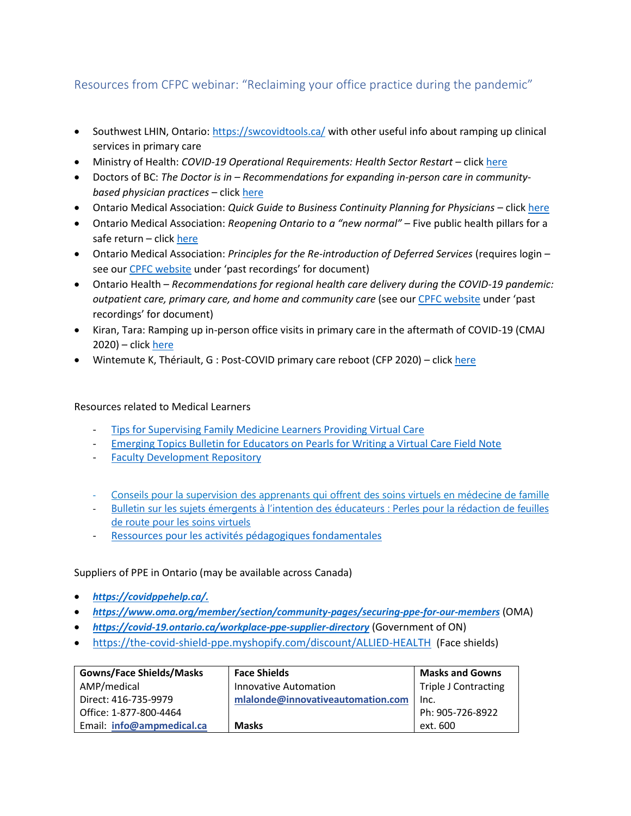## Resources from CFPC webinar: "Reclaiming your office practice during the pandemic"

- Southwest LHIN, Ontario:<https://swcovidtools.ca/> with other useful info about ramping up clinical services in primary care
- Ministry of Health: *COVID-19 Operational Requirements: Health Sector Restart* click [here](http://www.health.gov.on.ca/en/pro/programs/publichealth/coronavirus/docs/operational_requirements_health_sector.pdf)
- Doctors of BC: *The Doctor is in – Recommendations for expanding in-person care in communitybased physician practices* – click [here](https://www.doctorsofbc.ca/sites/default/files/recommendations_for_expanding_in-person_care_in_community_practice.pdf)
- Ontario Medical Association: *Quick Guide to Business Continuity Planning for Physicians* clic[k here](https://www.ontariomd.ca/documents/resource%20library/oma%20business%20continuity%20planning%20guide%20for%20physicians.pdf)
- Ontario Medical Association: *Reopening Ontario to a "new normal"* Five public health pillars for a safe return – clic[k here](https://content.oma.org/wp-content/uploads/private/Reopening-Ontario-5-Public-Health-Pillars.pdf)
- Ontario Medical Association: *Principles for the Re-introduction of Deferred Services* (requires login see ou[r CPFC website](http://www.cfpc.ca/clinicalwebinars) under 'past recordings' for document)
- Ontario Health *Recommendations for regional health care delivery during the COVID-19 pandemic: outpatient care, primary care, and home and community care* (see our [CPFC website](http://www.cfpc.ca/clinicalwebinars) under 'past recordings' for document)
- Kiran, Tara: Ramping up in-person office visits in primary care in the aftermath of COVID-19 (CMAJ  $2020$ ) – click [here](http://cmajblogs.com/ramping-up-in-person-office-visits-in-primary-care-in-the-aftermath-of-covid-19/)
- Wintemute K, Thériault, G : Post-COVID primary care reboot (CFP 2020) clic[k here](https://www.cfp.ca/news/2020/05/07/5-07)

## Resources related to Medical Learners

- [Tips for Supervising Family Medicine Learners Providing Virtual Care](https://portal.cfpc.ca/resourcesdocs/en/Supervision-of-FM-Learners-for-Virtual-Visits-final.pdf)
- [Emerging Topics Bulletin for Educators on Pearls for Writing a Virtual Care Field Note](https://portal.cfpc.ca/ResourcesDocs/uploadedFiles/Education/For_Teacher/Emerging-Writing-ENG-v4.pdf)
- [Faculty Development Repository](https://communities.cfpc.ca/committees~5/repository)
- [Conseils pour la supervision des apprenants qui offrent des soins virtuels en médecine de famille](https://portal.cfpc.ca/resourcesdocs/fr/Supervision-of-FM-Learners-for-Virtual-Visits-final-FRE.pdf)
- [Bulletin sur les sujets émergents à l'intention des éducateurs](https://portal.cfpc.ca/ResourcesDocs/uploadedFiles/Education/For_Teacher/Emerging-Writing-FRE-v4.pdf) : Perles pour la rédaction de feuilles [de route pour les soins virtuels](https://portal.cfpc.ca/ResourcesDocs/uploadedFiles/Education/For_Teacher/Emerging-Writing-FRE-v4.pdf)
- [Ressources pour les activités pédagogiques fondamentales](https://communities.cfpc.ca/committees~5/repository)

## Suppliers of PPE in Ontario (may be available across Canada)

- *[https://covidppehelp.ca/.](https://covidppehelp.ca/)*
- *<https://www.oma.org/member/section/community-pages/securing-ppe-for-our-members>* (OMA)
- *<https://covid-19.ontario.ca/workplace-ppe-supplier-directory>* (Government of ON)
- <https://the-covid-shield-ppe.myshopify.com/discount/ALLIED-HEALTH> (Face shields)

| <b>Gowns/Face Shields/Masks</b> | <b>Face Shields</b>               | <b>Masks and Gowns</b>      |
|---------------------------------|-----------------------------------|-----------------------------|
| AMP/medical                     | Innovative Automation             | <b>Triple J Contracting</b> |
| Direct: 416-735-9979            | mlalonde@innovativeautomation.com | Inc.                        |
| Office: 1-877-800-4464          |                                   | Ph: 905-726-8922            |
| Email: info@ampmedical.ca       | <b>Masks</b>                      | ext. 600                    |